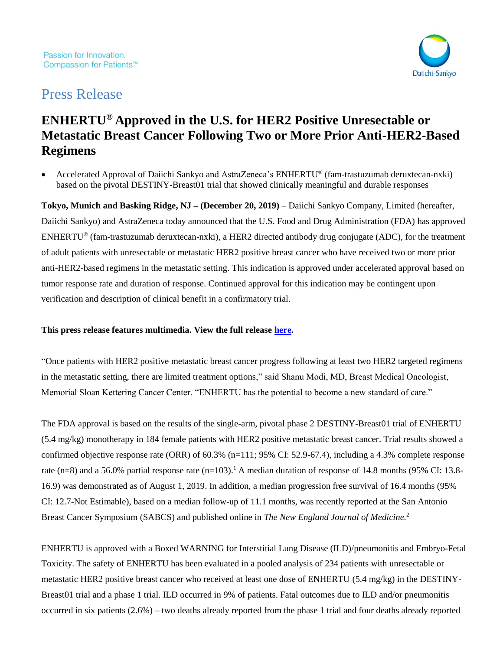

# Press Release

## **ENHERTU® Approved in the U.S. for HER2 Positive Unresectable or Metastatic Breast Cancer Following Two or More Prior Anti-HER2-Based Regimens**

• Accelerated Approval of Daiichi Sankyo and AstraZeneca's ENHERTU® (fam-trastuzumab deruxtecan-nxki) based on the pivotal DESTINY-Breast01 trial that showed clinically meaningful and durable responses

**Tokyo, Munich and Basking Ridge, NJ – (December 20, 2019)** – Daiichi Sankyo Company, Limited (hereafter, Daiichi Sankyo) and AstraZeneca today announced that the U.S. Food and Drug Administration (FDA) has approved ENHERTU® (fam-trastuzumab deruxtecan-nxki), a HER2 directed antibody drug conjugate (ADC), for the treatment of adult patients with unresectable or metastatic HER2 positive breast cancer who have received two or more prior anti-HER2-based regimens in the metastatic setting. This indication is approved under accelerated approval based on tumor response rate and duration of response. Continued approval for this indication may be contingent upon verification and description of clinical benefit in a confirmatory trial.

## **This press release features multimedia. View the full release [here.](https://nam04.safelinks.protection.outlook.com/?url=https%3A%2F%2Fwww.businesswire.com%2Fnews%2Fhome%2F20191220005578%2Fen%2FENHERTU%25C2%25AE-Approved-U.S.-HER2-Positive-Unresectable-Metastatic&data=02%7C01%7Crhastings%40dsi.com%7Cec953e4b8fd84c84417d08d785a2d5f2%7Cb0179487302644f7bcd625ed452138d0%7C0%7C0%7C637124806727951261&sdata=IisbCVVlQMwMh0EfmRGeX6Gtw8sGVklQOAY1XHFIqvg%3D&reserved=0)**

"Once patients with HER2 positive metastatic breast cancer progress following at least two HER2 targeted regimens in the metastatic setting, there are limited treatment options," said Shanu Modi, MD, Breast Medical Oncologist, Memorial Sloan Kettering Cancer Center. "ENHERTU has the potential to become a new standard of care."

The FDA approval is based on the results of the single-arm, pivotal phase 2 DESTINY-Breast01 trial of ENHERTU (5.4 mg/kg) monotherapy in 184 female patients with HER2 positive metastatic breast cancer. Trial results showed a confirmed objective response rate (ORR) of 60.3% (n=111; 95% CI: 52.9-67.4), including a 4.3% complete response rate (n=8) and a 56.0% partial response rate (n=103).<sup>1</sup> A median duration of response of 14.8 months (95% CI: 13.8-16.9) was demonstrated as of August 1, 2019. In addition, a median progression free survival of 16.4 months (95% CI: 12.7-Not Estimable), based on a median follow-up of 11.1 months, was recently reported at the San Antonio Breast Cancer Symposium (SABCS) and published online in *The New England Journal of Medicine.*<sup>2</sup>

ENHERTU is approved with a Boxed WARNING for Interstitial Lung Disease (ILD)/pneumonitis and Embryo-Fetal Toxicity. The safety of ENHERTU has been evaluated in a pooled analysis of 234 patients with unresectable or metastatic HER2 positive breast cancer who received at least one dose of ENHERTU (5.4 mg/kg) in the DESTINY-Breast01 trial and a phase 1 trial. ILD occurred in 9% of patients. Fatal outcomes due to ILD and/or pneumonitis occurred in six patients (2.6%) – two deaths already reported from the phase 1 trial and four deaths already reported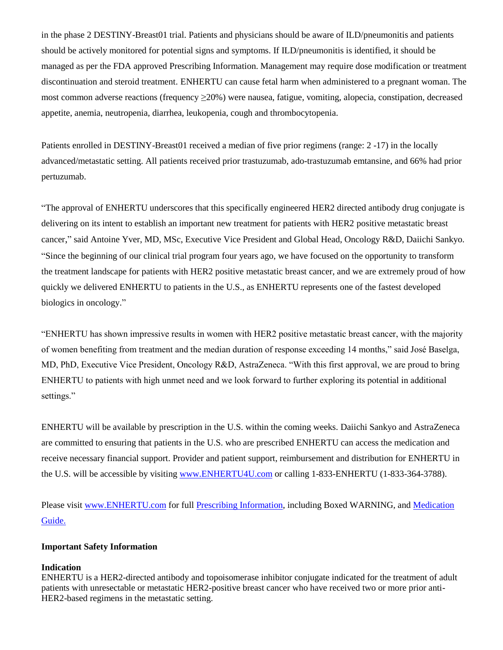in the phase 2 DESTINY-Breast01 trial. Patients and physicians should be aware of ILD/pneumonitis and patients should be actively monitored for potential signs and symptoms. If ILD/pneumonitis is identified, it should be managed as per the FDA approved Prescribing Information. Management may require dose modification or treatment discontinuation and steroid treatment. ENHERTU can cause fetal harm when administered to a pregnant woman. The most common adverse reactions (frequency ≥20%) were nausea, fatigue, vomiting, alopecia, constipation, decreased appetite, anemia, neutropenia, diarrhea, leukopenia, cough and thrombocytopenia.

Patients enrolled in DESTINY-Breast01 received a median of five prior regimens (range: 2 -17) in the locally advanced/metastatic setting. All patients received prior trastuzumab, ado-trastuzumab emtansine, and 66% had prior pertuzumab.

"The approval of ENHERTU underscores that this specifically engineered HER2 directed antibody drug conjugate is delivering on its intent to establish an important new treatment for patients with HER2 positive metastatic breast cancer," said Antoine Yver, MD, MSc, Executive Vice President and Global Head, Oncology R&D, Daiichi Sankyo. "Since the beginning of our clinical trial program four years ago, we have focused on the opportunity to transform the treatment landscape for patients with HER2 positive metastatic breast cancer, and we are extremely proud of how quickly we delivered ENHERTU to patients in the U.S., as ENHERTU represents one of the fastest developed biologics in oncology."

"ENHERTU has shown impressive results in women with HER2 positive metastatic breast cancer, with the majority of women benefiting from treatment and the median duration of response exceeding 14 months," said José Baselga, MD, PhD, Executive Vice President, Oncology R&D, AstraZeneca. "With this first approval, we are proud to bring ENHERTU to patients with high unmet need and we look forward to further exploring its potential in additional settings."

ENHERTU will be available by prescription in the U.S. within the coming weeks. Daiichi Sankyo and AstraZeneca are committed to ensuring that patients in the U.S. who are prescribed ENHERTU can access the medication and receive necessary financial support. Provider and patient support, reimbursement and distribution for ENHERTU in the U.S. will be accessible by visitin[g www.ENHERTU4U.com](http://www.enhertu4u.com/) or calling 1-833-ENHERTU (1-833-364-3788).

Please visit [www.ENHERTU.com](http://www.enhertu.com/) for full [Prescribing Information,](https://dsi.com/prescribing-information-portlet/getPIContent?productName=Enhertu&inline=true) including Boxed WARNING, and [Medication](https://dsi.com/prescribing-information-portlet/getPIContent?productName=Enhertu_Med&inline=true)  [Guide.](https://dsi.com/prescribing-information-portlet/getPIContent?productName=Enhertu_Med&inline=true) 

## **Important Safety Information**

## **Indication**

ENHERTU is a HER2-directed antibody and topoisomerase inhibitor conjugate indicated for the treatment of adult patients with unresectable or metastatic HER2-positive breast cancer who have received two or more prior anti-HER2-based regimens in the metastatic setting.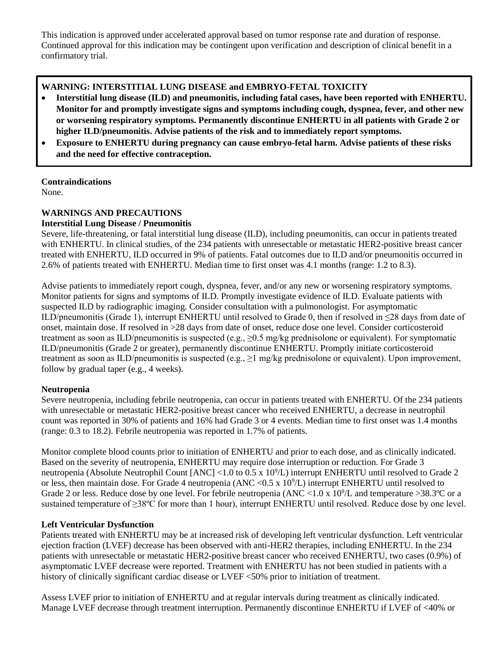This indication is approved under accelerated approval based on tumor response rate and duration of response. Continued approval for this indication may be contingent upon verification and description of clinical benefit in a confirmatory trial.

## **WARNING: INTERSTITIAL LUNG DISEASE and EMBRYO-FETAL TOXICITY**

- **Interstitial lung disease (ILD) and pneumonitis, including fatal cases, have been reported with ENHERTU. Monitor for and promptly investigate signs and symptoms including cough, dyspnea, fever, and other new or worsening respiratory symptoms. Permanently discontinue ENHERTU in all patients with Grade 2 or higher ILD/pneumonitis. Advise patients of the risk and to immediately report symptoms.**
- **Exposure to ENHERTU during pregnancy can cause embryo-fetal harm. Advise patients of these risks and the need for effective contraception.**

## **Contraindications**

None.

## **WARNINGS AND PRECAUTIONS**

## **Interstitial Lung Disease / Pneumonitis**

Severe, life-threatening, or fatal interstitial lung disease (ILD), including pneumonitis, can occur in patients treated with ENHERTU. In clinical studies, of the 234 patients with unresectable or metastatic HER2-positive breast cancer treated with ENHERTU, ILD occurred in 9% of patients. Fatal outcomes due to ILD and/or pneumonitis occurred in 2.6% of patients treated with ENHERTU. Median time to first onset was 4.1 months (range: 1.2 to 8.3).

Advise patients to immediately report cough, dyspnea, fever, and/or any new or worsening respiratory symptoms. Monitor patients for signs and symptoms of ILD. Promptly investigate evidence of ILD. Evaluate patients with suspected ILD by radiographic imaging. Consider consultation with a pulmonologist. For asymptomatic ILD/pneumonitis (Grade 1), interrupt ENHERTU until resolved to Grade 0, then if resolved in ≤28 days from date of onset, maintain dose. If resolved in >28 days from date of onset, reduce dose one level. Consider corticosteroid treatment as soon as ILD/pneumonitis is suspected (e.g., ≥0.5 mg/kg prednisolone or equivalent). For symptomatic ILD/pneumonitis (Grade 2 or greater), permanently discontinue ENHERTU. Promptly initiate corticosteroid treatment as soon as ILD/pneumonitis is suspected (e.g.,  $\geq 1$  mg/kg prednisolone or equivalent). Upon improvement, follow by gradual taper (e.g., 4 weeks).

## **Neutropenia**

Severe neutropenia, including febrile neutropenia, can occur in patients treated with ENHERTU. Of the 234 patients with unresectable or metastatic HER2-positive breast cancer who received ENHERTU, a decrease in neutrophil count was reported in 30% of patients and 16% had Grade 3 or 4 events. Median time to first onset was 1.4 months (range: 0.3 to 18.2). Febrile neutropenia was reported in 1.7% of patients.

Monitor complete blood counts prior to initiation of ENHERTU and prior to each dose, and as clinically indicated. Based on the severity of neutropenia, ENHERTU may require dose interruption or reduction. For Grade 3 neutropenia (Absolute Neutrophil Count [ANC] <1.0 to 0.5 x 10<sup>9</sup>/L) interrupt ENHERTU until resolved to Grade 2 or less, then maintain dose. For Grade 4 neutropenia (ANC < 0.5 x 10<sup>9</sup>/L) interrupt ENHERTU until resolved to Grade 2 or less. Reduce dose by one level. For febrile neutropenia (ANC <1.0 x  $10^9$ /L and temperature >38.3°C or a sustained temperature of ≥38ºC for more than 1 hour), interrupt ENHERTU until resolved. Reduce dose by one level.

## **Left Ventricular Dysfunction**

Patients treated with ENHERTU may be at increased risk of developing left ventricular dysfunction. Left ventricular ejection fraction (LVEF) decrease has been observed with anti-HER2 therapies, including ENHERTU. In the 234 patients with unresectable or metastatic HER2-positive breast cancer who received ENHERTU, two cases (0.9%) of asymptomatic LVEF decrease were reported. Treatment with ENHERTU has not been studied in patients with a history of clinically significant cardiac disease or LVEF <50% prior to initiation of treatment.

Assess LVEF prior to initiation of ENHERTU and at regular intervals during treatment as clinically indicated. Manage LVEF decrease through treatment interruption. Permanently discontinue ENHERTU if LVEF of <40% or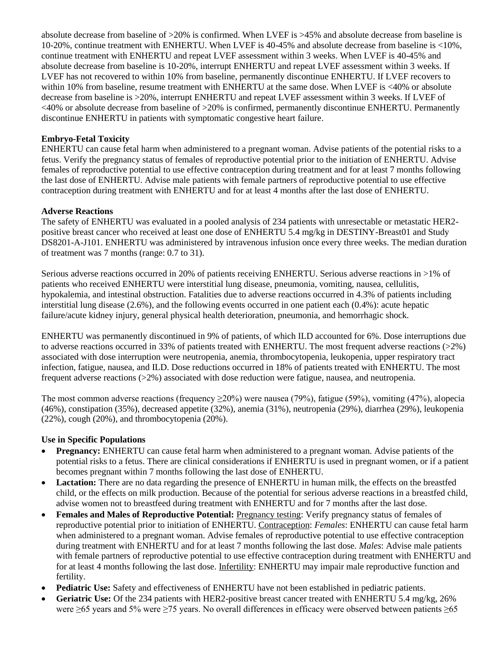absolute decrease from baseline of >20% is confirmed. When LVEF is >45% and absolute decrease from baseline is 10-20%, continue treatment with ENHERTU. When LVEF is 40-45% and absolute decrease from baseline is <10%, continue treatment with ENHERTU and repeat LVEF assessment within 3 weeks. When LVEF is 40-45% and absolute decrease from baseline is 10-20%, interrupt ENHERTU and repeat LVEF assessment within 3 weeks. If LVEF has not recovered to within 10% from baseline, permanently discontinue ENHERTU. If LVEF recovers to within 10% from baseline, resume treatment with ENHERTU at the same dose. When LVEF is <40% or absolute decrease from baseline is >20%, interrupt ENHERTU and repeat LVEF assessment within 3 weeks. If LVEF of <40% or absolute decrease from baseline of >20% is confirmed, permanently discontinue ENHERTU. Permanently discontinue ENHERTU in patients with symptomatic congestive heart failure.

## **Embryo-Fetal Toxicity**

ENHERTU can cause fetal harm when administered to a pregnant woman. Advise patients of the potential risks to a fetus. Verify the pregnancy status of females of reproductive potential prior to the initiation of ENHERTU. Advise females of reproductive potential to use effective contraception during treatment and for at least 7 months following the last dose of ENHERTU. Advise male patients with female partners of reproductive potential to use effective contraception during treatment with ENHERTU and for at least 4 months after the last dose of ENHERTU.

## **Adverse Reactions**

The safety of ENHERTU was evaluated in a pooled analysis of 234 patients with unresectable or metastatic HER2 positive breast cancer who received at least one dose of ENHERTU 5.4 mg/kg in DESTINY-Breast01 and Study DS8201-A-J101. ENHERTU was administered by intravenous infusion once every three weeks. The median duration of treatment was 7 months (range: 0.7 to 31).

Serious adverse reactions occurred in 20% of patients receiving ENHERTU. Serious adverse reactions in >1% of patients who received ENHERTU were interstitial lung disease, pneumonia, vomiting, nausea, cellulitis, hypokalemia, and intestinal obstruction. Fatalities due to adverse reactions occurred in 4.3% of patients including interstitial lung disease (2.6%), and the following events occurred in one patient each (0.4%): acute hepatic failure/acute kidney injury, general physical health deterioration, pneumonia, and hemorrhagic shock.

ENHERTU was permanently discontinued in 9% of patients, of which ILD accounted for 6%. Dose interruptions due to adverse reactions occurred in 33% of patients treated with ENHERTU. The most frequent adverse reactions (>2%) associated with dose interruption were neutropenia, anemia, thrombocytopenia, leukopenia, upper respiratory tract infection, fatigue, nausea, and ILD. Dose reductions occurred in 18% of patients treated with ENHERTU. The most frequent adverse reactions (>2%) associated with dose reduction were fatigue, nausea, and neutropenia.

The most common adverse reactions (frequency ≥20%) were nausea (79%), fatigue (59%), vomiting (47%), alopecia (46%), constipation (35%), decreased appetite (32%), anemia (31%), neutropenia (29%), diarrhea (29%), leukopenia (22%), cough (20%), and thrombocytopenia (20%).

## **Use in Specific Populations**

- **Pregnancy:** ENHERTU can cause fetal harm when administered to a pregnant woman. Advise patients of the potential risks to a fetus. There are clinical considerations if ENHERTU is used in pregnant women, or if a patient becomes pregnant within 7 months following the last dose of ENHERTU.
- **Lactation:** There are no data regarding the presence of ENHERTU in human milk, the effects on the breastfed child, or the effects on milk production. Because of the potential for serious adverse reactions in a breastfed child, advise women not to breastfeed during treatment with ENHERTU and for 7 months after the last dose.
- **Females and Males of Reproductive Potential:** Pregnancy testing: Verify pregnancy status of females of reproductive potential prior to initiation of ENHERTU. Contraception: *Females*: ENHERTU can cause fetal harm when administered to a pregnant woman. Advise females of reproductive potential to use effective contraception during treatment with ENHERTU and for at least 7 months following the last dose. *Males*: Advise male patients with female partners of reproductive potential to use effective contraception during treatment with ENHERTU and for at least 4 months following the last dose. Infertility: ENHERTU may impair male reproductive function and fertility.
- **Pediatric Use:** Safety and effectiveness of ENHERTU have not been established in pediatric patients.
- **Geriatric Use:** Of the 234 patients with HER2-positive breast cancer treated with ENHERTU 5.4 mg/kg, 26% were ≥65 years and 5% were ≥75 years. No overall differences in efficacy were observed between patients ≥65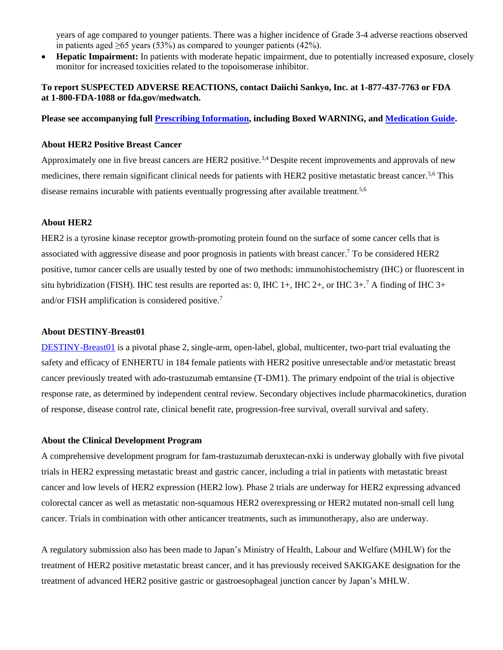years of age compared to younger patients. There was a higher incidence of Grade 3-4 adverse reactions observed in patients aged  $\geq 65$  years (53%) as compared to younger patients (42%).

• **Hepatic Impairment:** In patients with moderate hepatic impairment, due to potentially increased exposure, closely monitor for increased toxicities related to the topoisomerase inhibitor.

## **To report SUSPECTED ADVERSE REACTIONS, contact Daiichi Sankyo, Inc. at 1-877-437-7763 or FDA at 1-800-FDA-1088 or fda.gov/medwatch.**

#### **Please see accompanying full [Prescribing Information,](https://dsi.com/prescribing-information-portlet/getPIContent?productName=Enhertu&inline=true) including Boxed WARNING, and [Medication Guide.](https://dsi.com/prescribing-information-portlet/getPIContent?productName=Enhertu_Med&inline=true)**

#### **About HER2 Positive Breast Cancer**

Approximately one in five breast cancers are HER2 positive.<sup>3,4</sup> Despite recent improvements and approvals of new medicines, there remain significant clinical needs for patients with HER2 positive metastatic breast cancer.<sup>5,6</sup> This disease remains incurable with patients eventually progressing after available treatment.<sup>5,6</sup>

#### **About HER2**

HER2 is a tyrosine kinase receptor growth-promoting protein found on the surface of some cancer cells that is associated with aggressive disease and poor prognosis in patients with breast cancer.<sup>7</sup> To be considered HER2 positive, tumor cancer cells are usually tested by one of two methods: immunohistochemistry (IHC) or fluorescent in situ hybridization (FISH). IHC test results are reported as: 0, IHC 1+, IHC 2+, or IHC 3+.<sup>7</sup> A finding of IHC 3+ and/or FISH amplification is considered positive.<sup>7</sup>

#### **About DESTINY-Breast01**

[DESTINY-Breast01](https://clinicaltrials.gov/ct2/show/NCT03248492) is a pivotal phase 2, single-arm, open-label, global, multicenter, two-part trial evaluating the safety and efficacy of ENHERTU in 184 female patients with HER2 positive unresectable and/or metastatic breast cancer previously treated with ado-trastuzumab emtansine (T-DM1). The primary endpoint of the trial is objective response rate, as determined by independent central review. Secondary objectives include pharmacokinetics, duration of response, disease control rate, clinical benefit rate, progression-free survival, overall survival and safety.

#### **About the Clinical Development Program**

A comprehensive development program for fam-trastuzumab deruxtecan-nxki is underway globally with five pivotal trials in HER2 expressing metastatic breast and gastric cancer, including a trial in patients with metastatic breast cancer and low levels of HER2 expression (HER2 low). Phase 2 trials are underway for HER2 expressing advanced colorectal cancer as well as metastatic non-squamous HER2 overexpressing or HER2 mutated non-small cell lung cancer. Trials in combination with other anticancer treatments, such as immunotherapy, also are underway.

A regulatory submission also has been made to Japan's Ministry of Health, Labour and Welfare (MHLW) for the treatment of HER2 positive metastatic breast cancer, and it has previously received SAKIGAKE designation for the treatment of advanced HER2 positive gastric or gastroesophageal junction cancer by Japan's MHLW.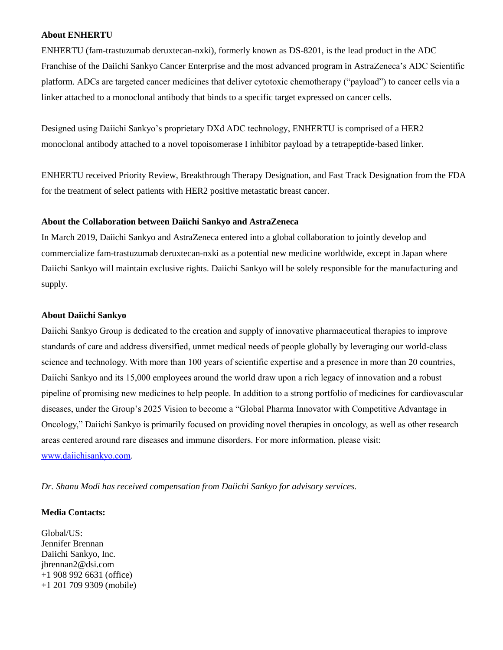#### **About ENHERTU**

ENHERTU (fam-trastuzumab deruxtecan-nxki), formerly known as DS-8201, is the lead product in the ADC Franchise of the Daiichi Sankyo Cancer Enterprise and the most advanced program in AstraZeneca's ADC Scientific platform. ADCs are targeted cancer medicines that deliver cytotoxic chemotherapy ("payload") to cancer cells via a linker attached to a monoclonal antibody that binds to a specific target expressed on cancer cells.

Designed using Daiichi Sankyo's proprietary DXd ADC technology, ENHERTU is comprised of a HER2 monoclonal antibody attached to a novel topoisomerase I inhibitor payload by a tetrapeptide-based linker.

ENHERTU received Priority Review, Breakthrough Therapy Designation, and Fast Track Designation from the FDA for the treatment of select patients with HER2 positive metastatic breast cancer.

## **About the Collaboration between Daiichi Sankyo and AstraZeneca**

In March 2019, Daiichi Sankyo and AstraZeneca entered into a global collaboration to jointly develop and commercialize fam-trastuzumab deruxtecan-nxki as a potential new medicine worldwide, except in Japan where Daiichi Sankyo will maintain exclusive rights. Daiichi Sankyo will be solely responsible for the manufacturing and supply.

#### **About Daiichi Sankyo**

Daiichi Sankyo Group is dedicated to the creation and supply of innovative pharmaceutical therapies to improve standards of care and address diversified, unmet medical needs of people globally by leveraging our world-class science and technology. With more than 100 years of scientific expertise and a presence in more than 20 countries, Daiichi Sankyo and its 15,000 employees around the world draw upon a rich legacy of innovation and a robust pipeline of promising new medicines to help people. In addition to a strong portfolio of medicines for cardiovascular diseases, under the Group's 2025 Vision to become a "Global Pharma Innovator with Competitive Advantage in Oncology," Daiichi Sankyo is primarily focused on providing novel therapies in oncology, as well as other research areas centered around rare diseases and immune disorders. For more information, please visit: [www.daiichisankyo.com.](http://www.daiichisankyo.com/)

*Dr. Shanu Modi has received compensation from Daiichi Sankyo for advisory services.* 

## **Media Contacts:**

Global/US: Jennifer Brennan Daiichi Sankyo, Inc. [jbrennan2@dsi.com](mailto:jbrennan2@dsi.com) +1 908 992 6631 (office) +1 201 709 9309 (mobile)